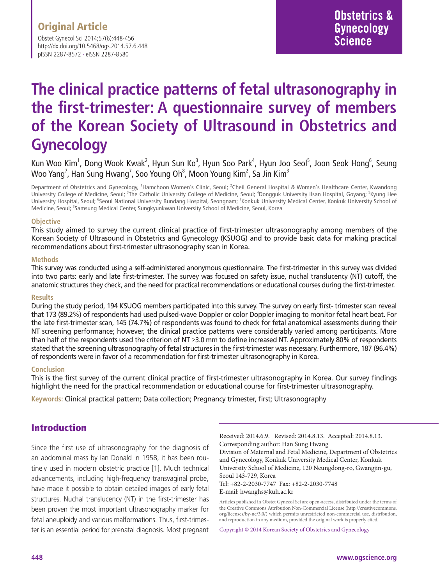Obstet Gynecol Sci 2014;57(6):448-456 http://dx.doi.org/10.5468/ogs.2014.57.6.448 pISSN 2287-8572 · eISSN 2287-8580

# **The clinical practice patterns of fetal ultrasonography in the first-trimester: A questionnaire survey of members of the Korean Society of Ultrasound in Obstetrics and Gynecology**

Kun Woo Kim<sup>1</sup>, Dong Wook Kwak<sup>2</sup>, Hyun Sun Ko<sup>3</sup>, Hyun Soo Park<sup>4</sup>, Hyun Joo Seol<sup>5</sup>, Joon Seok Hong<sup>6</sup>, Seung Woo Yang<sup>7</sup>, Han Sung Hwang<sup>7</sup>, Soo Young Oh $^{\rm 8}$ , Moon Young Kim $^{\rm 2}$ , Sa Jin Kim $^{\rm 3}$ 

Department of Obstetrics and Gynecology, <sup>1</sup>Hamchoon Women's Clinic, Seoul; <sup>2</sup>Cheil General Hospital & Women's Healthcare Center, Kwandong University College of Medicine, Seoul; <sup>3</sup>The Catholic University College of Medicine, Seoul; <sup>4</sup>Dongguk University Ilsan Hospital, Goyang; <sup>5</sup>Kyung Hee University Hospital, Seoul; <sup>6</sup>Seoul National University Bundang Hospital, Seongnam; <sup>7</sup>Konkuk University Medical Center, Konkuk University School of Medicine, Seoul; <sup>8</sup>Samsung Medical Center, Sungkyunkwan University School of Medicine, Seoul, Korea

#### **Objective**

This study aimed to survey the current clinical practice of first-trimester ultrasonography among members of the Korean Society of Ultrasound in Obstetrics and Gynecology (KSUOG) and to provide basic data for making practical recommendations about first-trimester ultrasonography scan in Korea.

#### **Methods**

This survey was conducted using a self-administered anonymous questionnaire. The first-trimester in this survey was divided into two parts: early and late first-trimester. The survey was focused on safety issue, nuchal translucency (NT) cutoff, the anatomic structures they check, and the need for practical recommendations or educational courses during the first-trimester.

#### **Results**

During the study period, 194 KSUOG members participated into this survey. The survey on early first- trimester scan reveal that 173 (89.2%) of respondents had used pulsed-wave Doppler or color Doppler imaging to monitor fetal heart beat. For the late first-trimester scan, 145 (74.7%) of respondents was found to check for fetal anatomical assessments during their NT screening performance; however, the clinical practice patterns were considerably varied among participants. More than half of the respondents used the criterion of NT ≥3.0 mm to define increased NT. Approximately 80% of respondents stated that the screening ultrasonography of fetal structures in the first-trimester was necessary. Furthermore, 187 (96.4%) of respondents were in favor of a recommendation for first-trimester ultrasonography in Korea.

#### **Conclusion**

This is the first survey of the current clinical practice of first-trimester ultrasonography in Korea. Our survey findings highlight the need for the practical recommendation or educational course for first-trimester ultrasonography.

**Keywords:** Clinical practical pattern; Data collection; Pregnancy trimester, first; Ultrasonography

### Introduction

Since the first use of ultrasonography for the diagnosis of an abdominal mass by Ian Donald in 1958, it has been routinely used in modern obstetric practice [1]. Much technical advancements, including high-frequency transvaginal probe, have made it possible to obtain detailed images of early fetal structures. Nuchal translucency (NT) in the first-trimester has been proven the most important ultrasonography marker for fetal aneuploidy and various malformations. Thus, first-trimester is an essential period for prenatal diagnosis. Most pregnant

Received: 2014.6.9. Revised: 2014.8.13. Accepted: 2014.8.13. Corresponding author: Han Sung Hwang Division of Maternal and Fetal Medicine, Department of Obstetrics and Gynecology, Konkuk University Medical Center, Konkuk University School of Medicine, 120 Neungdong-ro, Gwangjin-gu, Seoul 143-729, Korea Tel: +82-2-2030-7747 Fax: +82-2-2030-7748 E-mail: hwanghs@kuh.ac.kr

Articles published in Obstet Gynecol Sci are open-access, distributed under the terms of the Creative Commons Attribution Non-Commercial License (http://creativecommons. org/licenses/by-nc/3.0/) which permits unrestricted non-commercial use, distribution, and reproduction in any medium, provided the original work is properly cited.

Copyright © 2014 Korean Society of Obstetrics and Gynecology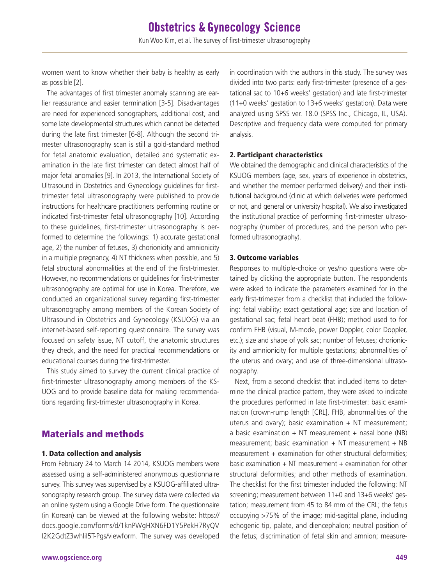women want to know whether their baby is healthy as early as possible [2].

The advantages of first trimester anomaly scanning are earlier reassurance and easier termination [3-5]. Disadvantages are need for experienced sonographers, additional cost, and some late developmental structures which cannot be detected during the late first trimester [6-8]. Although the second trimester ultrasonography scan is still a gold-standard method for fetal anatomic evaluation, detailed and systematic examination in the late first trimester can detect almost half of major fetal anomalies [9]. In 2013, the International Society of Ultrasound in Obstetrics and Gynecology guidelines for firsttrimester fetal ultrasonography were published to provide instructions for healthcare practitioners performing routine or indicated first-trimester fetal ultrasonography [10]. According to these guidelines, first-trimester ultrasonography is performed to determine the followings: 1) accurate gestational age, 2) the number of fetuses, 3) chorionicity and amnionicity in a multiple pregnancy, 4) NT thickness when possible, and 5) fetal structural abnormalities at the end of the first-trimester. However, no recommendations or guidelines for first-trimester ultrasonography are optimal for use in Korea. Therefore, we conducted an organizational survey regarding first-trimester ultrasonography among members of the Korean Society of Ultrasound in Obstetrics and Gynecology (KSUOG) via an internet-based self-reporting questionnaire. The survey was focused on safety issue, NT cutoff, the anatomic structures they check, and the need for practical recommendations or educational courses during the first-trimester.

This study aimed to survey the current clinical practice of first-trimester ultrasonography among members of the KS-UOG and to provide baseline data for making recommendations regarding first-trimester ultrasonography in Korea.

### Materials and methods

#### 1. Data collection and analysis

From February 24 to March 14 2014, KSUOG members were assessed using a self-administered anonymous questionnaire survey. This survey was supervised by a KSUOG-affiliated ultrasonography research group. The survey data were collected via an online system using a Google Drive form. The questionnaire (in Korean) can be viewed at the following website: https:// [docs.google.com/forms/d/1knPWgHXN6FD1Y5PekH7RyQV](http://docs.google.com/forms/d/1knPWgHXN6FD1Y5PekH7RyQV%20I2K2GdtZ3whliI5T-Pgs/viewform)  [I2K2GdtZ3whliI5T-Pgs/viewform.](http://docs.google.com/forms/d/1knPWgHXN6FD1Y5PekH7RyQV%20I2K2GdtZ3whliI5T-Pgs/viewform) The survey was developed

in coordination with the authors in this study. The survey was divided into two parts: early first-trimester (presence of a gestational sac to 10+6 weeks' gestation) and late first-trimester (11+0 weeks' gestation to 13+6 weeks' gestation). Data were analyzed using SPSS ver. 18.0 (SPSS Inc., Chicago, IL, USA). Descriptive and frequency data were computed for primary analysis.

#### 2. Participant characteristics

We obtained the demographic and clinical characteristics of the KSUOG members (age, sex, years of experience in obstetrics, and whether the member performed delivery) and their institutional background (clinic at which deliveries were performed or not, and general or university hospital). We also investigated the institutional practice of performing first-trimester ultrasonography (number of procedures, and the person who performed ultrasonography).

#### 3. Outcome variables

Responses to multiple-choice or yes/no questions were obtained by clicking the appropriate button. The respondents were asked to indicate the parameters examined for in the early first-trimester from a checklist that included the following: fetal viability; exact gestational age; size and location of gestational sac; fetal heart beat (FHB); method used to for confirm FHB (visual, M-mode, power Doppler, color Doppler, etc.); size and shape of yolk sac; number of fetuses; chorionicity and amnionicity for multiple gestations; abnormalities of the uterus and ovary; and use of three-dimensional ultrasonography.

Next, from a second checklist that included items to determine the clinical practice pattern, they were asked to indicate the procedures performed in late first-trimester: basic examination (crown-rump length [CRL], FHB, abnormalities of the uterus and ovary); basic examination  $+$  NT measurement; a basic examination  $+$  NT measurement  $+$  nasal bone (NB) measurement; basic examination + NT measurement + NB measurement + examination for other structural deformities; basic examination  $+$  NT measurement  $+$  examination for other structural deformities; and other methods of examination. The checklist for the first trimester included the following: NT screening; measurement between 11+0 and 13+6 weeks' gestation; measurement from 45 to 84 mm of the CRL; the fetus occupying >75% of the image; mid-sagittal plane, including echogenic tip, palate, and diencephalon; neutral position of the fetus; discrimination of fetal skin and amnion; measure-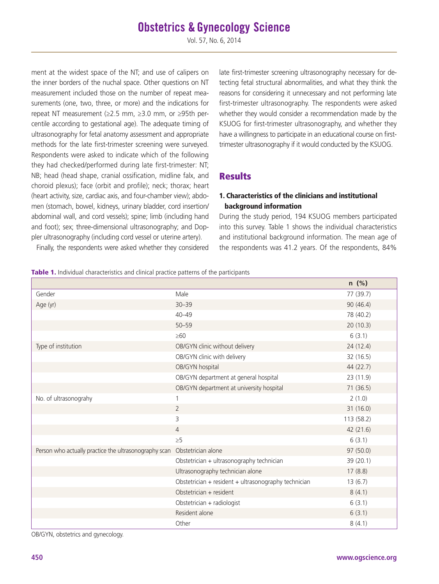Vol. 57, No. 6, 2014

ment at the widest space of the NT; and use of calipers on the inner borders of the nuchal space. Other questions on NT measurement included those on the number of repeat measurements (one, two, three, or more) and the indications for repeat NT measurement (≥2.5 mm, ≥3.0 mm, or ≥95th percentile according to gestational age). The adequate timing of ultrasonography for fetal anatomy assessment and appropriate methods for the late first-trimester screening were surveyed. Respondents were asked to indicate which of the following they had checked/performed during late first-trimester: NT; NB; head (head shape, cranial ossification, midline falx, and choroid plexus); face (orbit and profile); neck; thorax; heart (heart activity, size, cardiac axis, and four-chamber view); abdomen (stomach, bowel, kidneys, urinary bladder, cord insertion/ abdominal wall, and cord vessels); spine; limb (including hand and foot); sex; three-dimensional ultrasonography; and Doppler ultrasonography (including cord vessel or uterine artery).

Finally, the respondents were asked whether they considered

late first-trimester screening ultrasonography necessary for detecting fetal structural abnormalities, and what they think the reasons for considering it unnecessary and not performing late first-trimester ultrasonography. The respondents were asked whether they would consider a recommendation made by the KSUOG for first-trimester ultrasonography, and whether they have a willingness to participate in an educational course on firsttrimester ultrasonography if it would conducted by the KSUOG.

### **Results**

#### 1. Characteristics of the clinicians and institutional background information

During the study period, 194 KSUOG members participated into this survey. Table 1 shows the individual characteristics and institutional background information. The mean age of the respondents was 41.2 years. Of the respondents, 84%

|                                                       |                                                      | $n$ (%)    |
|-------------------------------------------------------|------------------------------------------------------|------------|
| Gender                                                | Male                                                 | 77 (39.7)  |
| Age (yr)                                              | $30 - 39$                                            | 90 (46.4)  |
|                                                       | $40 - 49$                                            | 78 (40.2)  |
|                                                       | $50 - 59$                                            | 20(10.3)   |
|                                                       | $\geq 60$                                            | 6(3.1)     |
| Type of institution                                   | OB/GYN clinic without delivery                       | 24 (12.4)  |
|                                                       | OB/GYN clinic with delivery                          | 32 (16.5)  |
|                                                       | OB/GYN hospital                                      | 44 (22.7)  |
|                                                       | OB/GYN department at general hospital                | 23 (11.9)  |
|                                                       | OB/GYN department at university hospital             | 71 (36.5)  |
| No. of ultrasonograhy                                 |                                                      | 2(1.0)     |
|                                                       | $\overline{2}$                                       | 31 (16.0)  |
|                                                       | 3                                                    | 113 (58.2) |
|                                                       | $\overline{4}$                                       | 42 (21.6)  |
|                                                       | $\geq 5$                                             | 6(3.1)     |
| Person who actually practice the ultrasonography scan | Obstetrician alone                                   | 97 (50.0)  |
|                                                       | Obstetrician + ultrasonography technician            | 39 (20.1)  |
|                                                       | Ultrasonography technician alone                     | 17(8.8)    |
|                                                       | Obstetrician + resident + ultrasonography technician | 13(6.7)    |
|                                                       | Obstetrician + resident                              | 8(4.1)     |
|                                                       | Obstetrician + radiologist                           | 6(3.1)     |
|                                                       | Resident alone                                       | 6(3.1)     |
|                                                       | Other                                                | 8(4.1)     |

OB/GYN, obstetrics and gynecology.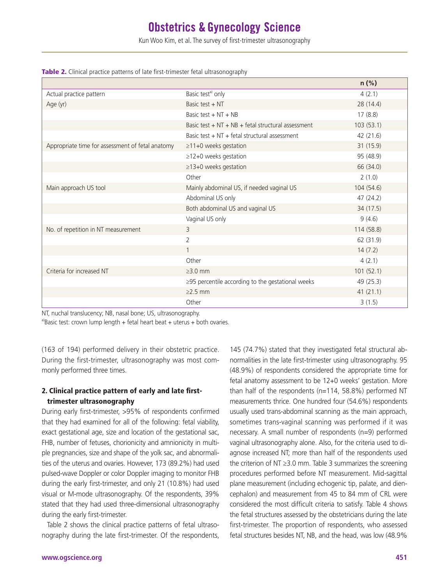Kun Woo Kim, et al. The survey of first-trimester ultrasonography

|                                                  |                                                    | $n$ (%)    |
|--------------------------------------------------|----------------------------------------------------|------------|
| Actual practice pattern                          | Basic test <sup>a)</sup> only                      | 4(2.1)     |
| Age (yr)                                         | Basic test + NT                                    | 28 (14.4)  |
|                                                  | Basic test $+NT + NB$                              | 17(8.8)    |
|                                                  | Basic test + NT + NB + fetal structural assessment | 103(53.1)  |
|                                                  | Basic test $+ NT +$ fetal structural assessment    | 42 (21.6)  |
| Appropriate time for assessment of fetal anatomy | $\geq$ 11+0 weeks gestation                        | 31 (15.9)  |
|                                                  | ≥12+0 weeks gestation                              | 95 (48.9)  |
|                                                  | ≥13+0 weeks gestation                              | 66 (34.0)  |
|                                                  | Other                                              | 2(1.0)     |
| Main approach US tool                            | Mainly abdominal US, if needed vaginal US          | 104 (54.6) |
|                                                  | Abdominal US only                                  | 47 (24.2)  |
|                                                  | Both abdominal US and vaginal US                   | 34 (17.5)  |
|                                                  | Vaginal US only                                    | 9(4.6)     |
| No. of repetition in NT measurement              | 3                                                  | 114 (58.8) |
|                                                  | $\overline{2}$                                     | 62 (31.9)  |
|                                                  |                                                    | 14(7.2)    |
|                                                  | Other                                              | 4(2.1)     |
| Criteria for increased NT                        | $\geq$ 3.0 mm                                      | 101(52.1)  |
|                                                  | ≥95 percentile according to the gestational weeks  | 49 (25.3)  |
|                                                  | $\geq$ 2.5 mm                                      | 41(21.1)   |
|                                                  | Other                                              | 3(1.5)     |

|  |  |  |  | Table 2. Clinical practice patterns of late first-trimester fetal ultrasonography |  |  |  |
|--|--|--|--|-----------------------------------------------------------------------------------|--|--|--|
|--|--|--|--|-----------------------------------------------------------------------------------|--|--|--|

NT, nuchal translucency; NB, nasal bone; US, ultrasonography.

a)Basic test: crown lump length + fetal heart beat + uterus + both ovaries.

(163 of 194) performed delivery in their obstetric practice. During the first-trimester, ultrasonography was most commonly performed three times.

#### 2. Clinical practice pattern of early and late firsttrimester ultrasonography

During early first-trimester, >95% of respondents confirmed that they had examined for all of the following: fetal viability, exact gestational age, size and location of the gestational sac, FHB, number of fetuses, chorionicity and amnionicity in multiple pregnancies, size and shape of the yolk sac, and abnormalities of the uterus and ovaries. However, 173 (89.2%) had used pulsed-wave Doppler or color Doppler imaging to monitor FHB during the early first-trimester, and only 21 (10.8%) had used visual or M-mode ultrasonography. Of the respondents, 39% stated that they had used three-dimensional ultrasonography during the early first-trimester.

Table 2 shows the clinical practice patterns of fetal ultrasonography during the late first-trimester. Of the respondents, normalities in the late first-trimester using ultrasonography. 95 (48.9%) of respondents considered the appropriate time for fetal anatomy assessment to be 12+0 weeks' gestation. More than half of the respondents (n=114, 58.8%) performed NT measurements thrice. One hundred four (54.6%) respondents usually used trans-abdominal scanning as the main approach, sometimes trans-vaginal scanning was performed if it was necessary. A small number of respondents (n=9) performed vaginal ultrasonography alone. Also, for the criteria used to diagnose increased NT; more than half of the respondents used the criterion of NT ≥3.0 mm. Table 3 summarizes the screening procedures performed before NT measurement. Mid-sagittal plane measurement (including echogenic tip, palate, and diencephalon) and measurement from 45 to 84 mm of CRL were considered the most difficult criteria to satisfy. Table 4 shows the fetal structures assessed by the obstetricians during the late first-trimester. The proportion of respondents, who assessed fetal structures besides NT, NB, and the head, was low (48.9%

145 (74.7%) stated that they investigated fetal structural ab-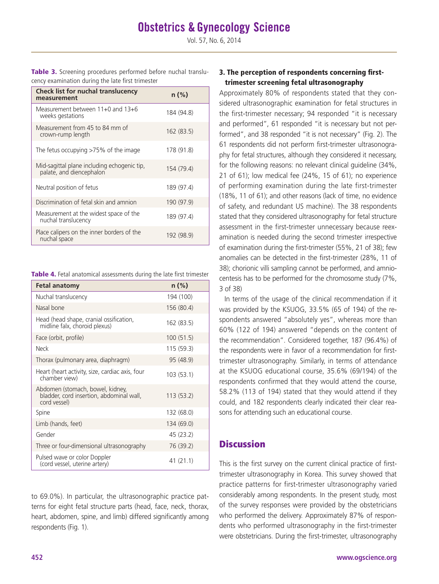Table 3. Screening procedures performed before nuchal translucency examination during the late first trimester

| <b>Check list for nuchal translucency</b><br>measurement                | n (%)      |
|-------------------------------------------------------------------------|------------|
| Measurement between 11+0 and 13+6<br>weeks gestations                   | 184 (94.8) |
| Measurement from 45 to 84 mm of<br>crown-rump length                    | 162 (83.5) |
| The fetus occupying >75% of the image                                   | 178 (91.8) |
| Mid-sagittal plane including echogenic tip,<br>palate, and diencephalon | 154 (79.4) |
| Neutral position of fetus                                               | 189 (97.4) |
| Discrimination of fetal skin and amnion                                 | 190 (97.9) |
| Measurement at the widest space of the<br>nuchal translucency           | 189 (97.4) |
| Place calipers on the inner borders of the<br>nuchal space              | 192 (98.9) |

| Table 4. Fetal anatomical assessments during the late first trimester |  |  |  |  |
|-----------------------------------------------------------------------|--|--|--|--|
|-----------------------------------------------------------------------|--|--|--|--|

| <b>Fetal anatomy</b>                                                                         | $n (\%)$   |
|----------------------------------------------------------------------------------------------|------------|
| Nuchal translucency                                                                          | 194 (100)  |
| Nasal bone                                                                                   | 156 (80.4) |
| Head (head shape, cranial ossification,<br>midline falx, choroid plexus)                     | 162 (83.5) |
| Face (orbit, profile)                                                                        | 100(51.5)  |
| Neck                                                                                         | 115 (59.3) |
| Thorax (pulmonary area, diaphragm)                                                           | 95 (48.9)  |
| Heart (heart activity, size, cardiac axis, four<br>chamber view)                             | 103(53.1)  |
| Abdomen (stomach, bowel, kidney,<br>bladder, cord insertion, abdominal wall,<br>cord vessel) | 113(53.2)  |
| Spine                                                                                        | 132 (68.0) |
| Limb (hands, feet)                                                                           | 134 (69.0) |
| Gender                                                                                       | 45 (23.2)  |
| Three or four-dimensional ultrasonography                                                    | 76 (39.2)  |
| Pulsed wave or color Doppler<br>(cord vessel, uterine artery)                                | 41 (21.1)  |

to 69.0%). In particular, the ultrasonographic practice patterns for eight fetal structure parts (head, face, neck, thorax, heart, abdomen, spine, and limb) differed significantly among respondents (Fig. 1).

#### 3. The perception of respondents concerning firsttrimester screening fetal ultrasonography

Approximately 80% of respondents stated that they considered ultrasonographic examination for fetal structures in the first-trimester necessary; 94 responded "it is necessary and performed", 61 responded "it is necessary but not performed", and 38 responded "it is not necessary" (Fig. 2). The 61 respondents did not perform first-trimester ultrasonography for fetal structures, although they considered it necessary, for the following reasons: no relevant clinical guideline (34%, 21 of 61); low medical fee (24%, 15 of 61); no experience of performing examination during the late first-trimester (18%, 11 of 61); and other reasons (lack of time, no evidence of safety, and redundant US machine). The 38 respondents stated that they considered ultrasonography for fetal structure assessment in the first-trimester unnecessary because reexamination is needed during the second trimester irrespective of examination during the first-trimester (55%, 21 of 38); few anomalies can be detected in the first-trimester (28%, 11 of 38); chorionic villi sampling cannot be performed, and amniocentesis has to be performed for the chromosome study (7%, 3 of 38)

In terms of the usage of the clinical recommendation if it was provided by the KSUOG, 33.5% (65 of 194) of the respondents answered "absolutely yes", whereas more than 60% (122 of 194) answered "depends on the content of the recommendation". Considered together, 187 (96.4%) of the respondents were in favor of a recommendation for firsttrimester ultrasonography. Similarly, in terms of attendance at the KSUOG educational course, 35.6% (69/194) of the respondents confirmed that they would attend the course, 58.2% (113 of 194) stated that they would attend if they could, and 182 respondents clearly indicated their clear reasons for attending such an educational course.

### **Discussion**

This is the first survey on the current clinical practice of firsttrimester ultrasonography in Korea. This survey showed that practice patterns for first-trimester ultrasonography varied considerably among respondents. In the present study, most of the survey responses were provided by the obstetricians who performed the delivery. Approximately 87% of respondents who performed ultrasonography in the first-trimester were obstetricians. During the first-trimester, ultrasonography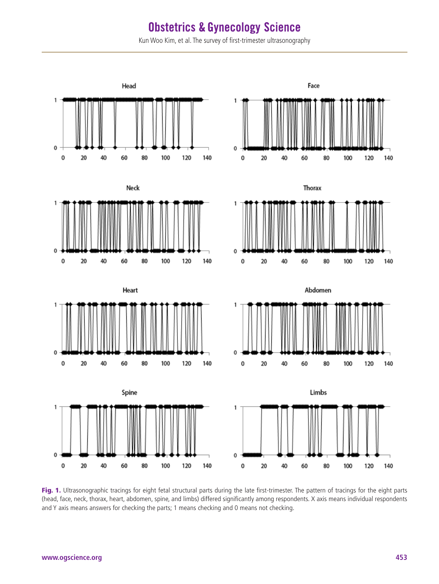Kun Woo Kim, et al. The survey of first-trimester ultrasonography



Fig. 1. Ultrasonographic tracings for eight fetal structural parts during the late first-trimester. The pattern of tracings for the eight parts (head, face, neck, thorax, heart, abdomen, spine, and limbs) differed significantly among respondents. X axis means individual respondents and Y axis means answers for checking the parts; 1 means checking and 0 means not checking.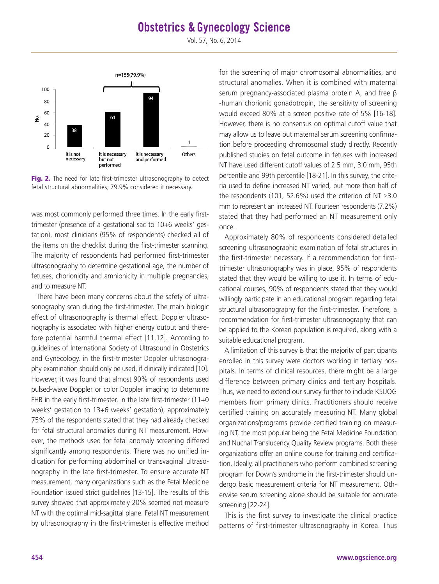Vol. 57, No. 6, 2014



Fig. 2. The need for late first-trimester ultrasonography to detect fetal structural abnormalities; 79.9% considered it necessary.

was most commonly performed three times. In the early firsttrimester (presence of a gestational sac to 10+6 weeks' gestation), most clinicians (95% of respondents) checked all of the items on the checklist during the first-trimester scanning. The majority of respondents had performed first-trimester ultrasonography to determine gestational age, the number of fetuses, chorionicity and amnionicity in multiple pregnancies, and to measure NT.

There have been many concerns about the safety of ultrasonography scan during the first-trimester. The main biologic effect of ultrasonography is thermal effect. Doppler ultrasonography is associated with higher energy output and therefore potential harmful thermal effect [11,12]. According to guidelines of International Society of Ultrasound in Obstetrics and Gynecology, in the first-trimester Doppler ultrasonography examination should only be used, if clinically indicated [10]. However, it was found that almost 90% of respondents used pulsed-wave Doppler or color Doppler imaging to determine FHB in the early first-trimester. In the late first-trimester (11+0 weeks' gestation to 13+6 weeks' gestation), approximately 75% of the respondents stated that they had already checked for fetal structural anomalies during NT measurement. However, the methods used for fetal anomaly screening differed significantly among respondents. There was no unified indication for performing abdominal or transvaginal ultrasonography in the late first-trimester. To ensure accurate NT measurement, many organizations such as the Fetal Medicine Foundation issued strict guidelines [13-15]. The results of this survey showed that approximately 20% seemed not measure NT with the optimal mid-sagittal plane. Fetal NT measurement by ultrasonography in the first-trimester is effective method

for the screening of major chromosomal abnormalities, and structural anomalies. When it is combined with maternal serum pregnancy-associated plasma protein A, and free β -human chorionic gonadotropin, the sensitivity of screening would exceed 80% at a screen positive rate of 5% [16-18]. However, there is no consensus on optimal cutoff value that may allow us to leave out maternal serum screening confirmation before proceeding chromosomal study directly. Recently published studies on fetal outcome in fetuses with increased NT have used different cutoff values of 2.5 mm, 3.0 mm, 95th percentile and 99th percentile [18-21]. In this survey, the criteria used to define increased NT varied, but more than half of the respondents (101, 52.6%) used the criterion of NT ≥3.0 mm to represent an increased NT. Fourteen respondents (7.2%) stated that they had performed an NT measurement only once.

Approximately 80% of respondents considered detailed screening ultrasonographic examination of fetal structures in the first-trimester necessary. If a recommendation for firsttrimester ultrasonography was in place, 95% of respondents stated that they would be willing to use it. In terms of educational courses, 90% of respondents stated that they would willingly participate in an educational program regarding fetal structural ultrasonography for the first-trimester. Therefore, a recommendation for first-trimester ultrasonography that can be applied to the Korean population is required, along with a suitable educational program.

A limitation of this survey is that the majority of participants enrolled in this survey were doctors working in tertiary hospitals. In terms of clinical resources, there might be a large difference between primary clinics and tertiary hospitals. Thus, we need to extend our survey further to include KSUOG members from primary clinics. Practitioners should receive certified training on accurately measuring NT. Many global organizations/programs provide certified training on measuring NT, the most popular being the Fetal Medicine Foundation and Nuchal Translucency Quality Review programs. Both these organizations offer an online course for training and certification. Ideally, all practitioners who perform combined screening program for Down's syndrome in the first-trimester should undergo basic measurement criteria for NT measurement. Otherwise serum screening alone should be suitable for accurate screening [22-24].

This is the first survey to investigate the clinical practice patterns of first-trimester ultrasonography in Korea. Thus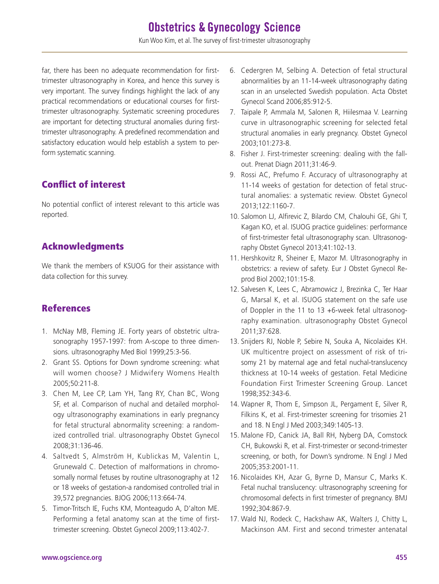Kun Woo Kim, et al. The survey of first-trimester ultrasonography

far, there has been no adequate recommendation for firsttrimester ultrasonography in Korea, and hence this survey is very important. The survey findings highlight the lack of any practical recommendations or educational courses for firsttrimester ultrasonography. Systematic screening procedures are important for detecting structural anomalies during firsttrimester ultrasonography. A predefined recommendation and satisfactory education would help establish a system to perform systematic scanning.

## Conflict of interest

No potential conflict of interest relevant to this article was reported.

## Acknowledgments

We thank the members of KSUOG for their assistance with data collection for this survey.

## References

- 1. McNay MB, Fleming JE. Forty years of obstetric ultrasonography 1957-1997: from A-scope to three dimensions. ultrasonography Med Biol 1999;25:3-56.
- 2. Grant SS. Options for Down syndrome screening: what will women choose? J Midwifery Womens Health 2005;50:211-8.
- 3. Chen M, Lee CP, Lam YH, Tang RY, Chan BC, Wong SF, et al. Comparison of nuchal and detailed morphology ultrasonography examinations in early pregnancy for fetal structural abnormality screening: a randomized controlled trial. ultrasonography Obstet Gynecol 2008;31:136-46.
- 4. Saltvedt S, Almström H, Kublickas M, Valentin L, Grunewald C. Detection of malformations in chromosomally normal fetuses by routine ultrasonography at 12 or 18 weeks of gestation-a randomised controlled trial in 39,572 pregnancies. BJOG 2006;113:664-74.
- 5. Timor-Tritsch IE, Fuchs KM, Monteagudo A, D'alton ME. Performing a fetal anatomy scan at the time of firsttrimester screening. Obstet Gynecol 2009;113:402-7.
- 6. Cedergren M, Selbing A. Detection of fetal structural abnormalities by an 11-14-week ultrasonography dating scan in an unselected Swedish population. Acta Obstet Gynecol Scand 2006;85:912-5.
- 7. Taipale P, Ammala M, Salonen R, Hiilesmaa V. Learning curve in ultrasonographic screening for selected fetal structural anomalies in early pregnancy. Obstet Gynecol 2003;101:273-8.
- 8. Fisher J. First-trimester screening: dealing with the fallout. Prenat Diagn 2011;31:46-9.
- 9. Rossi AC, Prefumo F. Accuracy of ultrasonography at 11-14 weeks of gestation for detection of fetal structural anomalies: a systematic review. Obstet Gynecol 2013;122:1160-7.
- 10. Salomon LJ, Alfirevic Z, Bilardo CM, Chalouhi GE, Ghi T, Kagan KO, et al. ISUOG practice guidelines: performance of first-trimester fetal ultrasonography scan. Ultrasonography Obstet Gynecol 2013;41:102-13.
- 11. Hershkovitz R, Sheiner E, Mazor M. Ultrasonography in obstetrics: a review of safety. Eur J Obstet Gynecol Reprod Biol 2002;101:15-8.
- 12. Salvesen K, Lees C, Abramowicz J, Brezinka C, Ter Haar G, Marsal K, et al. ISUOG statement on the safe use of Doppler in the 11 to 13 +6-week fetal ultrasonography examination. ultrasonography Obstet Gynecol 2011;37:628.
- 13. Snijders RJ, Noble P, Sebire N, Souka A, Nicolaides KH. UK multicentre project on assessment of risk of trisomy 21 by maternal age and fetal nuchal-translucency thickness at 10-14 weeks of gestation. Fetal Medicine Foundation First Trimester Screening Group. Lancet 1998;352:343-6.
- 14. Wapner R, Thom E, Simpson JL, Pergament E, Silver R, Filkins K, et al. First-trimester screening for trisomies 21 and 18. N Engl J Med 2003;349:1405-13.
- 15. Malone FD, Canick JA, Ball RH, Nyberg DA, Comstock CH, Bukowski R, et al. First-trimester or second-trimester screening, or both, for Down's syndrome. N Engl J Med 2005;353:2001-11.
- 16. Nicolaides KH, Azar G, Byrne D, Mansur C, Marks K. Fetal nuchal translucency: ultrasonography screening for chromosomal defects in first trimester of pregnancy. BMJ 1992;304:867-9.
- 17. Wald NJ, Rodeck C, Hackshaw AK, Walters J, Chitty L, Mackinson AM. First and second trimester antenatal